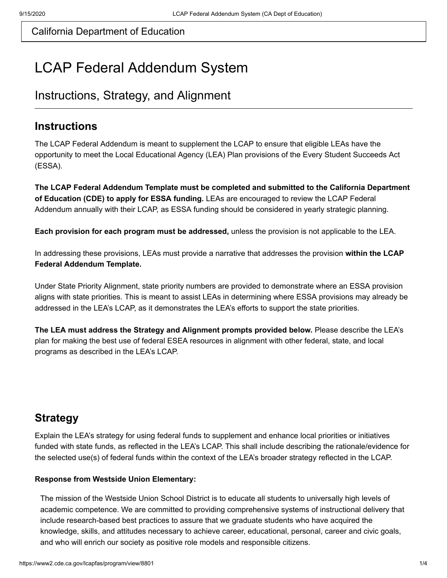# LCAP Federal Addendum System

## Instructions, Strategy, and Alignment

### **Instructions**

The LCAP Federal Addendum is meant to supplement the LCAP to ensure that eligible LEAs have the opportunity to meet the Local Educational Agency (LEA) Plan provisions of the Every Student Succeeds Act (ESSA).

**The LCAP Federal Addendum Template must be completed and submitted to the California Department of Education (CDE) to apply for ESSA funding.** LEAs are encouraged to review the LCAP Federal Addendum annually with their LCAP, as ESSA funding should be considered in yearly strategic planning.

**Each provision for each program must be addressed,** unless the provision is not applicable to the LEA.

In addressing these provisions, LEAs must provide a narrative that addresses the provision **within the LCAP Federal Addendum Template.** 

Under State Priority Alignment, state priority numbers are provided to demonstrate where an ESSA provision aligns with state priorities. This is meant to assist LEAs in determining where ESSA provisions may already be addressed in the LEA's LCAP, as it demonstrates the LEA's efforts to support the state priorities.

**The LEA must address the Strategy and Alignment prompts provided below.** Please describe the LEA's plan for making the best use of federal ESEA resources in alignment with other federal, state, and local programs as described in the LEA's LCAP.

## **Strategy**

Explain the LEA's strategy for using federal funds to supplement and enhance local priorities or initiatives funded with state funds, as reflected in the LEA's LCAP. This shall include describing the rationale/evidence for the selected use(s) of federal funds within the context of the LEA's broader strategy reflected in the LCAP.

#### **Response from Westside Union Elementary:**

The mission of the Westside Union School District is to educate all students to universally high levels of academic competence. We are committed to providing comprehensive systems of instructional delivery that include research-based best practices to assure that we graduate students who have acquired the knowledge, skills, and attitudes necessary to achieve career, educational, personal, career and civic goals, and who will enrich our society as positive role models and responsible citizens.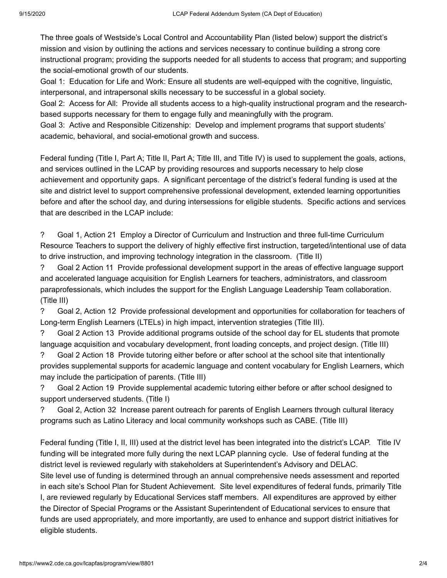The three goals of Westside's Local Control and Accountability Plan (listed below) support the district's mission and vision by outlining the actions and services necessary to continue building a strong core instructional program; providing the supports needed for all students to access that program; and supporting the social-emotional growth of our students.

Goal 1: Education for Life and Work: Ensure all students are well-equipped with the cognitive, linguistic, interpersonal, and intrapersonal skills necessary to be successful in a global society.

Goal 2: Access for All: Provide all students access to a high-quality instructional program and the researchbased supports necessary for them to engage fully and meaningfully with the program.

Goal 3: Active and Responsible Citizenship: Develop and implement programs that support students' academic, behavioral, and social-emotional growth and success.

Federal funding (Title I, Part A; Title II, Part A; Title III, and Title IV) is used to supplement the goals, actions, and services outlined in the LCAP by providing resources and supports necessary to help close achievement and opportunity gaps. A significant percentage of the district's federal funding is used at the site and district level to support comprehensive professional development, extended learning opportunities before and after the school day, and during intersessions for eligible students. Specific actions and services that are described in the LCAP include:

? Goal 1, Action 21 Employ a Director of Curriculum and Instruction and three full-time Curriculum Resource Teachers to support the delivery of highly effective first instruction, targeted/intentional use of data to drive instruction, and improving technology integration in the classroom. (Title II)

? Goal 2 Action 11 Provide professional development support in the areas of effective language support and accelerated language acquisition for English Learners for teachers, administrators, and classroom paraprofessionals, which includes the support for the English Language Leadership Team collaboration. (Title III)

? Goal 2, Action 12 Provide professional development and opportunities for collaboration for teachers of Long-term English Learners (LTELs) in high impact, intervention strategies (Title III).

? Goal 2 Action 13 Provide additional programs outside of the school day for EL students that promote language acquisition and vocabulary development, front loading concepts, and project design. (Title III)

? Goal 2 Action 18 Provide tutoring either before or after school at the school site that intentionally provides supplemental supports for academic language and content vocabulary for English Learners, which may include the participation of parents. (Title III)

? Goal 2 Action 19 Provide supplemental academic tutoring either before or after school designed to support underserved students. (Title I)

? Goal 2, Action 32 Increase parent outreach for parents of English Learners through cultural literacy programs such as Latino Literacy and local community workshops such as CABE. (Title III)

Federal funding (Title I, II, III) used at the district level has been integrated into the district's LCAP. Title IV funding will be integrated more fully during the next LCAP planning cycle. Use of federal funding at the district level is reviewed regularly with stakeholders at Superintendent's Advisory and DELAC. Site level use of funding is determined through an annual comprehensive needs assessment and reported in each site's School Plan for Student Achievement. Site level expenditures of federal funds, primarily Title I, are reviewed regularly by Educational Services staff members. All expenditures are approved by either the Director of Special Programs or the Assistant Superintendent of Educational services to ensure that funds are used appropriately, and more importantly, are used to enhance and support district initiatives for eligible students.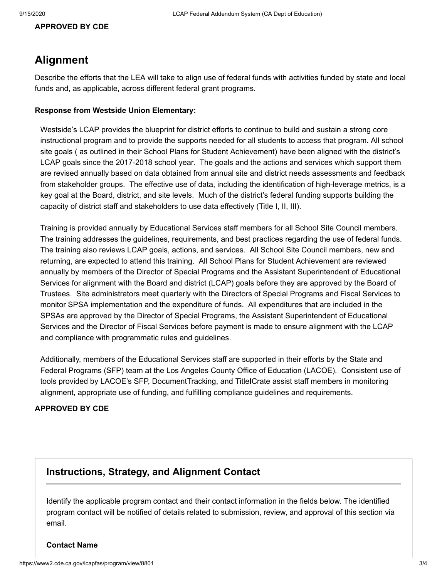#### **APPROVED BY CDE**

### **Alignment**

Describe the efforts that the LEA will take to align use of federal funds with activities funded by state and local funds and, as applicable, across different federal grant programs.

#### **Response from Westside Union Elementary:**

Westside's LCAP provides the blueprint for district efforts to continue to build and sustain a strong core instructional program and to provide the supports needed for all students to access that program. All school site goals ( as outlined in their School Plans for Student Achievement) have been aligned with the district's LCAP goals since the 2017-2018 school year. The goals and the actions and services which support them are revised annually based on data obtained from annual site and district needs assessments and feedback from stakeholder groups. The effective use of data, including the identification of high-leverage metrics, is a key goal at the Board, district, and site levels. Much of the district's federal funding supports building the capacity of district staff and stakeholders to use data effectively (Title I, II, III).

Training is provided annually by Educational Services staff members for all School Site Council members. The training addresses the guidelines, requirements, and best practices regarding the use of federal funds. The training also reviews LCAP goals, actions, and services. All School Site Council members, new and returning, are expected to attend this training. All School Plans for Student Achievement are reviewed annually by members of the Director of Special Programs and the Assistant Superintendent of Educational Services for alignment with the Board and district (LCAP) goals before they are approved by the Board of Trustees. Site administrators meet quarterly with the Directors of Special Programs and Fiscal Services to monitor SPSA implementation and the expenditure of funds. All expenditures that are included in the SPSAs are approved by the Director of Special Programs, the Assistant Superintendent of Educational Services and the Director of Fiscal Services before payment is made to ensure alignment with the LCAP and compliance with programmatic rules and guidelines.

Additionally, members of the Educational Services staff are supported in their efforts by the State and Federal Programs (SFP) team at the Los Angeles County Office of Education (LACOE). Consistent use of tools provided by LACOE's SFP, DocumentTracking, and TitleICrate assist staff members in monitoring alignment, appropriate use of funding, and fulfilling compliance guidelines and requirements.

#### **APPROVED BY CDE**

### **Instructions, Strategy, and Alignment Contact**

Identify the applicable program contact and their contact information in the fields below. The identified program contact will be notified of details related to submission, review, and approval of this section via email.

#### **Contact Name**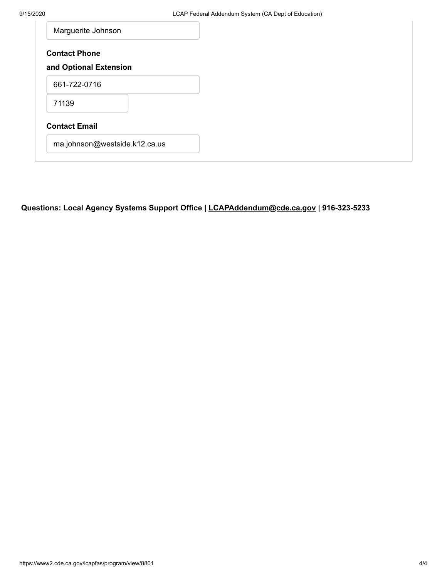| Marguerite Johnson            |
|-------------------------------|
| <b>Contact Phone</b>          |
| and Optional Extension        |
| 661-722-0716                  |
| 71139                         |
| <b>Contact Email</b>          |
| ma.johnson@westside.k12.ca.us |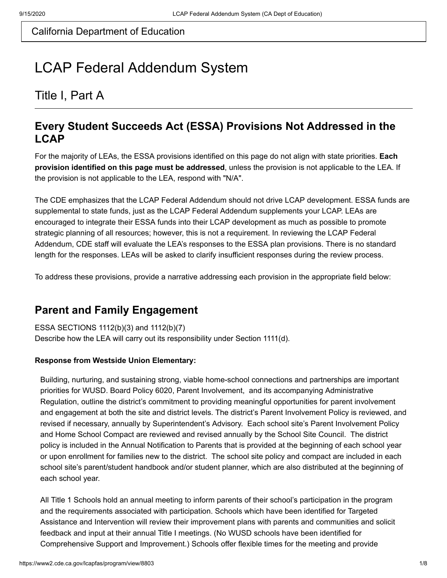# LCAP Federal Addendum System

Title I, Part A

### **Every Student Succeeds Act (ESSA) Provisions Not Addressed in the LCAP**

For the majority of LEAs, the ESSA provisions identified on this page do not align with state priorities. **Each provision identified on this page must be addressed**, unless the provision is not applicable to the LEA. If the provision is not applicable to the LEA, respond with "N/A".

The CDE emphasizes that the LCAP Federal Addendum should not drive LCAP development. ESSA funds are supplemental to state funds, just as the LCAP Federal Addendum supplements your LCAP. LEAs are encouraged to integrate their ESSA funds into their LCAP development as much as possible to promote strategic planning of all resources; however, this is not a requirement. In reviewing the LCAP Federal Addendum, CDE staff will evaluate the LEA's responses to the ESSA plan provisions. There is no standard length for the responses. LEAs will be asked to clarify insufficient responses during the review process.

To address these provisions, provide a narrative addressing each provision in the appropriate field below:

### **Parent and Family Engagement**

ESSA SECTIONS 1112(b)(3) and 1112(b)(7) Describe how the LEA will carry out its responsibility under Section 1111(d).

#### **Response from Westside Union Elementary:**

Building, nurturing, and sustaining strong, viable home-school connections and partnerships are important priorities for WUSD. Board Policy 6020, Parent Involvement, and its accompanying Administrative Regulation, outline the district's commitment to providing meaningful opportunities for parent involvement and engagement at both the site and district levels. The district's Parent Involvement Policy is reviewed, and revised if necessary, annually by Superintendent's Advisory. Each school site's Parent Involvement Policy and Home School Compact are reviewed and revised annually by the School Site Council. The district policy is included in the Annual Notification to Parents that is provided at the beginning of each school year or upon enrollment for families new to the district. The school site policy and compact are included in each school site's parent/student handbook and/or student planner, which are also distributed at the beginning of each school year.

All Title 1 Schools hold an annual meeting to inform parents of their school's participation in the program and the requirements associated with participation. Schools which have been identified for Targeted Assistance and Intervention will review their improvement plans with parents and communities and solicit feedback and input at their annual Title I meetings. (No WUSD schools have been identified for Comprehensive Support and Improvement.) Schools offer flexible times for the meeting and provide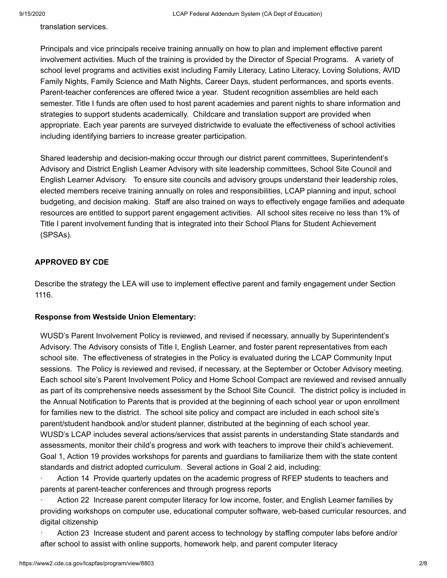translation services.

Principals and vice principals receive training annually on how to plan and implement effective parent involvement activities. Much of the training is provided by the Director of Special Programs. A variety of school level programs and activities exist including Family Literacy, Latino Literacy, Loving Solutions, AVID Family Nights, Family Science and Math Nights, Career Days, student performances, and sports events. Parent-teacher conferences are offered twice a year. Student recognition assemblies are held each semester. Title I funds are often used to host parent academies and parent nights to share information and strategies to support students academically. Childcare and translation support are provided when appropriate. Each year parents are surveyed districtwide to evaluate the effectiveness of school activities including identifying barriers to increase greater participation.

Shared leadership and decision-making occur through our district parent committees, Superintendent's Advisory and District English Learner Advisory with site leadership committees, School Site Council and English Learner Advisory. To ensure site councils and advisory groups understand their leadership roles, elected members receive training annually on roles and responsibilities, LCAP planning and input, school budgeting, and decision making. Staff are also trained on ways to effectively engage families and adequate resources are entitled to support parent engagement activities. All school sites receive no less than 1% of Title I parent involvement funding that is integrated into their School Plans for Student Achievement (SPSAs).

#### **APPROVED BY CDE**

Describe the strategy the LEA will use to implement effective parent and family engagement under Section 1116.

#### **Response from Westside Union Elementary:**

WUSD's Parent Involvement Policy is reviewed, and revised if necessary, annually by Superintendent's Advisory. The Advisory consists of Title I, English Learner, and foster parent representatives from each school site. The effectiveness of strategies in the Policy is evaluated during the LCAP Community Input sessions. The Policy is reviewed and revised, if necessary, at the September or October Advisory meeting. Each school site's Parent Involvement Policy and Home School Compact are reviewed and revised annually as part of its comprehensive needs assessment by the School Site Council. The district policy is included in the Annual Notification to Parents that is provided at the beginning of each school year or upon enrollment for families new to the district. The school site policy and compact are included in each school site's parent/student handbook and/or student planner, distributed at the beginning of each school year. WUSD's LCAP includes several actions/services that assist parents in understanding State standards and assessments, monitor their child's progress and work with teachers to improve their child's achievement. Goal 1, Action 19 provides workshops for parents and guardians to familiarize them with the state content standards and district adopted curriculum. Several actions in Goal 2 aid, including:

Action 14 Provide quarterly updates on the academic progress of RFEP students to teachers and parents at parent-teacher conferences and through progress reports

Action 22 Increase parent computer literacy for low income, foster, and English Learner families by providing workshops on computer use, educational computer software, web-based curricular resources, and digital citizenship

· Action 23 Increase student and parent access to technology by staffing computer labs before and/or after school to assist with online supports, homework help, and parent computer literacy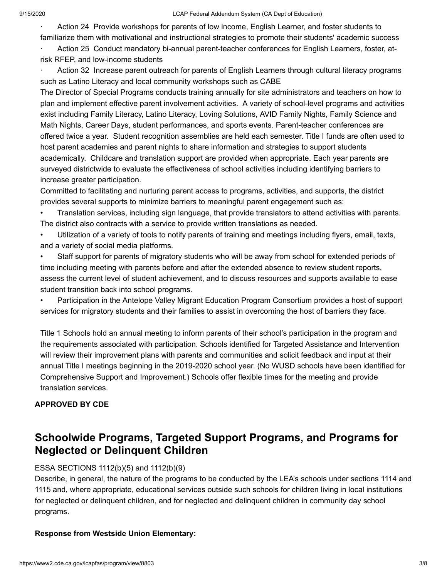Action 24 Provide workshops for parents of low income, English Learner, and foster students to familiarize them with motivational and instructional strategies to promote their students' academic success

Action 25 Conduct mandatory bi-annual parent-teacher conferences for English Learners, foster, atrisk RFEP, and low-income students

Action 32 Increase parent outreach for parents of English Learners through cultural literacy programs such as Latino Literacy and local community workshops such as CABE

The Director of Special Programs conducts training annually for site administrators and teachers on how to plan and implement effective parent involvement activities. A variety of school-level programs and activities exist including Family Literacy, Latino Literacy, Loving Solutions, AVID Family Nights, Family Science and Math Nights, Career Days, student performances, and sports events. Parent-teacher conferences are offered twice a year. Student recognition assemblies are held each semester. Title I funds are often used to host parent academies and parent nights to share information and strategies to support students academically. Childcare and translation support are provided when appropriate. Each year parents are surveyed districtwide to evaluate the effectiveness of school activities including identifying barriers to increase greater participation.

Committed to facilitating and nurturing parent access to programs, activities, and supports, the district provides several supports to minimize barriers to meaningful parent engagement such as:

• Translation services, including sign language, that provide translators to attend activities with parents. The district also contracts with a service to provide written translations as needed.

• Utilization of a variety of tools to notify parents of training and meetings including flyers, email, texts, and a variety of social media platforms.

Staff support for parents of migratory students who will be away from school for extended periods of time including meeting with parents before and after the extended absence to review student reports, assess the current level of student achievement, and to discuss resources and supports available to ease student transition back into school programs.

• Participation in the Antelope Valley Migrant Education Program Consortium provides a host of support services for migratory students and their families to assist in overcoming the host of barriers they face.

Title 1 Schools hold an annual meeting to inform parents of their school's participation in the program and the requirements associated with participation. Schools identified for Targeted Assistance and Intervention will review their improvement plans with parents and communities and solicit feedback and input at their annual Title I meetings beginning in the 2019-2020 school year. (No WUSD schools have been identified for Comprehensive Support and Improvement.) Schools offer flexible times for the meeting and provide translation services.

#### **APPROVED BY CDE**

## **Schoolwide Programs, Targeted Support Programs, and Programs for Neglected or Delinquent Children**

#### ESSA SECTIONS 1112(b)(5) and 1112(b)(9)

Describe, in general, the nature of the programs to be conducted by the LEA's schools under sections 1114 and 1115 and, where appropriate, educational services outside such schools for children living in local institutions for neglected or delinquent children, and for neglected and delinquent children in community day school programs.

#### **Response from Westside Union Elementary:**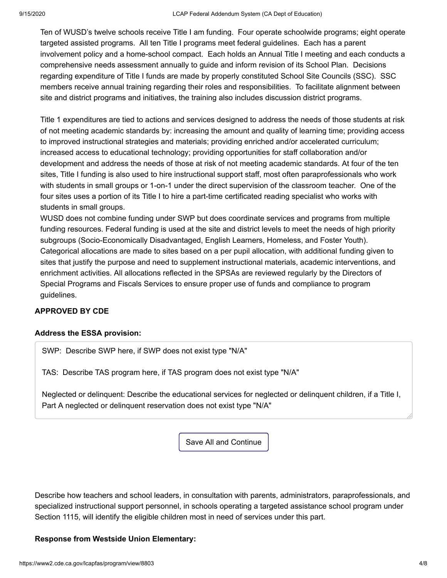Ten of WUSD's twelve schools receive Title I am funding. Four operate schoolwide programs; eight operate targeted assisted programs. All ten Title I programs meet federal guidelines. Each has a parent involvement policy and a home-school compact. Each holds an Annual Title I meeting and each conducts a comprehensive needs assessment annually to guide and inform revision of its School Plan. Decisions regarding expenditure of Title I funds are made by properly constituted School Site Councils (SSC). SSC members receive annual training regarding their roles and responsibilities. To facilitate alignment between site and district programs and initiatives, the training also includes discussion district programs.

Title 1 expenditures are tied to actions and services designed to address the needs of those students at risk of not meeting academic standards by: increasing the amount and quality of learning time; providing access to improved instructional strategies and materials; providing enriched and/or accelerated curriculum; increased access to educational technology; providing opportunities for staff collaboration and/or development and address the needs of those at risk of not meeting academic standards. At four of the ten sites, Title I funding is also used to hire instructional support staff, most often paraprofessionals who work with students in small groups or 1-on-1 under the direct supervision of the classroom teacher. One of the four sites uses a portion of its Title I to hire a part-time certificated reading specialist who works with students in small groups.

WUSD does not combine funding under SWP but does coordinate services and programs from multiple funding resources. Federal funding is used at the site and district levels to meet the needs of high priority subgroups (Socio-Economically Disadvantaged, English Learners, Homeless, and Foster Youth). Categorical allocations are made to sites based on a per pupil allocation, with additional funding given to sites that justify the purpose and need to supplement instructional materials, academic interventions, and enrichment activities. All allocations reflected in the SPSAs are reviewed regularly by the Directors of Special Programs and Fiscals Services to ensure proper use of funds and compliance to program guidelines.

#### **APPROVED BY CDE**

#### **Address the ESSA provision:**

SWP: Describe SWP here, if SWP does not exist type "N/A"

TAS: Describe TAS program here, if TAS program does not exist type "N/A"

Neglected or delinquent: Describe the educational services for neglected or delinquent children, if a Title I, Part A neglected or delinquent reservation does not exist type "N/A"

Save All and Continue

Describe how teachers and school leaders, in consultation with parents, administrators, paraprofessionals, and specialized instructional support personnel, in schools operating a targeted assistance school program under Section 1115, will identify the eligible children most in need of services under this part.

#### **Response from Westside Union Elementary:**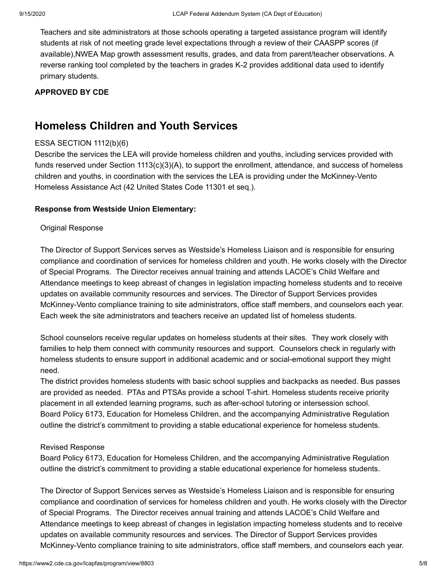Teachers and site administrators at those schools operating a targeted assistance program will identify students at risk of not meeting grade level expectations through a review of their CAASPP scores (if available),NWEA Map growth assessment results, grades, and data from parent/teacher observations. A reverse ranking tool completed by the teachers in grades K-2 provides additional data used to identify primary students.

#### **APPROVED BY CDE**

### **Homeless Children and Youth Services**

#### ESSA SECTION 1112(b)(6)

Describe the services the LEA will provide homeless children and youths, including services provided with funds reserved under Section 1113(c)(3)(A), to support the enrollment, attendance, and success of homeless children and youths, in coordination with the services the LEA is providing under the McKinney-Vento Homeless Assistance Act (42 United States Code 11301 et seq.).

#### **Response from Westside Union Elementary:**

#### Original Response

The Director of Support Services serves as Westside's Homeless Liaison and is responsible for ensuring compliance and coordination of services for homeless children and youth. He works closely with the Director of Special Programs. The Director receives annual training and attends LACOE's Child Welfare and Attendance meetings to keep abreast of changes in legislation impacting homeless students and to receive updates on available community resources and services. The Director of Support Services provides McKinney-Vento compliance training to site administrators, office staff members, and counselors each year. Each week the site administrators and teachers receive an updated list of homeless students.

School counselors receive regular updates on homeless students at their sites. They work closely with families to help them connect with community resources and support. Counselors check in regularly with homeless students to ensure support in additional academic and or social-emotional support they might need.

The district provides homeless students with basic school supplies and backpacks as needed. Bus passes are provided as needed. PTAs and PTSAs provide a school T-shirt. Homeless students receive priority placement in all extended learning programs, such as after-school tutoring or intersession school. Board Policy 6173, Education for Homeless Children, and the accompanying Administrative Regulation outline the district's commitment to providing a stable educational experience for homeless students.

#### Revised Response

Board Policy 6173, Education for Homeless Children, and the accompanying Administrative Regulation outline the district's commitment to providing a stable educational experience for homeless students.

The Director of Support Services serves as Westside's Homeless Liaison and is responsible for ensuring compliance and coordination of services for homeless children and youth. He works closely with the Director of Special Programs. The Director receives annual training and attends LACOE's Child Welfare and Attendance meetings to keep abreast of changes in legislation impacting homeless students and to receive updates on available community resources and services. The Director of Support Services provides McKinney-Vento compliance training to site administrators, office staff members, and counselors each year.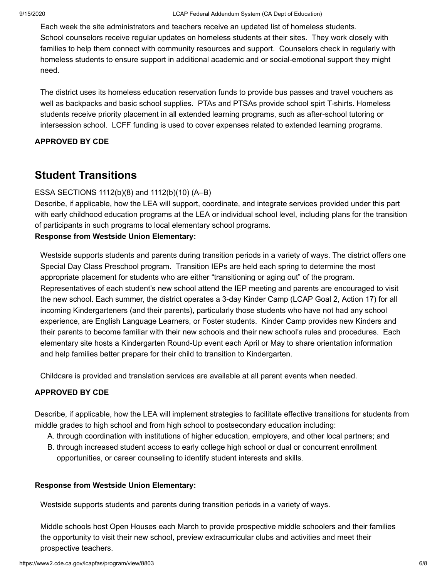Each week the site administrators and teachers receive an updated list of homeless students. School counselors receive regular updates on homeless students at their sites. They work closely with families to help them connect with community resources and support. Counselors check in regularly with homeless students to ensure support in additional academic and or social-emotional support they might need.

The district uses its homeless education reservation funds to provide bus passes and travel vouchers as well as backpacks and basic school supplies. PTAs and PTSAs provide school spirt T-shirts. Homeless students receive priority placement in all extended learning programs, such as after-school tutoring or intersession school. LCFF funding is used to cover expenses related to extended learning programs.

#### **APPROVED BY CDE**

## **Student Transitions**

#### ESSA SECTIONS 1112(b)(8) and 1112(b)(10) (A–B)

Describe, if applicable, how the LEA will support, coordinate, and integrate services provided under this part with early childhood education programs at the LEA or individual school level, including plans for the transition of participants in such programs to local elementary school programs.

#### **Response from Westside Union Elementary:**

Westside supports students and parents during transition periods in a variety of ways. The district offers one Special Day Class Preschool program. Transition IEPs are held each spring to determine the most appropriate placement for students who are either "transitioning or aging out" of the program. Representatives of each student's new school attend the IEP meeting and parents are encouraged to visit the new school. Each summer, the district operates a 3-day Kinder Camp (LCAP Goal 2, Action 17) for all incoming Kindergarteners (and their parents), particularly those students who have not had any school experience, are English Language Learners, or Foster students. Kinder Camp provides new Kinders and their parents to become familiar with their new schools and their new school's rules and procedures. Each elementary site hosts a Kindergarten Round-Up event each April or May to share orientation information and help families better prepare for their child to transition to Kindergarten.

Childcare is provided and translation services are available at all parent events when needed.

#### **APPROVED BY CDE**

Describe, if applicable, how the LEA will implement strategies to facilitate effective transitions for students from middle grades to high school and from high school to postsecondary education including:

- A. through coordination with institutions of higher education, employers, and other local partners; and
- B. through increased student access to early college high school or dual or concurrent enrollment opportunities, or career counseling to identify student interests and skills.

#### **Response from Westside Union Elementary:**

Westside supports students and parents during transition periods in a variety of ways.

Middle schools host Open Houses each March to provide prospective middle schoolers and their families the opportunity to visit their new school, preview extracurricular clubs and activities and meet their prospective teachers.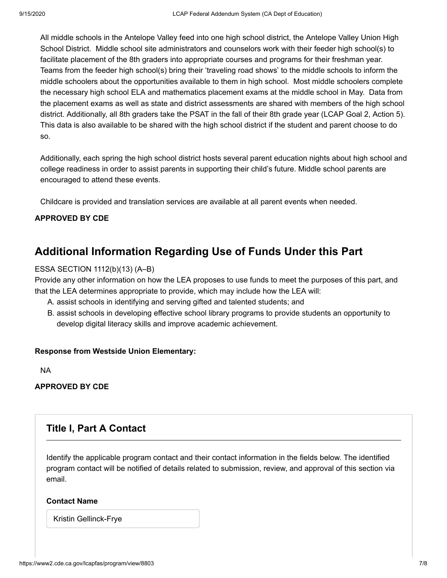All middle schools in the Antelope Valley feed into one high school district, the Antelope Valley Union High School District. Middle school site administrators and counselors work with their feeder high school(s) to facilitate placement of the 8th graders into appropriate courses and programs for their freshman year. Teams from the feeder high school(s) bring their 'traveling road shows' to the middle schools to inform the middle schoolers about the opportunities available to them in high school. Most middle schoolers complete the necessary high school ELA and mathematics placement exams at the middle school in May. Data from the placement exams as well as state and district assessments are shared with members of the high school district. Additionally, all 8th graders take the PSAT in the fall of their 8th grade year (LCAP Goal 2, Action 5). This data is also available to be shared with the high school district if the student and parent choose to do so.

Additionally, each spring the high school district hosts several parent education nights about high school and college readiness in order to assist parents in supporting their child's future. Middle school parents are encouraged to attend these events.

Childcare is provided and translation services are available at all parent events when needed.

#### **APPROVED BY CDE**

### **Additional Information Regarding Use of Funds Under this Part**

#### ESSA SECTION 1112(b)(13) (A–B)

Provide any other information on how the LEA proposes to use funds to meet the purposes of this part, and that the LEA determines appropriate to provide, which may include how the LEA will:

- A. assist schools in identifying and serving gifted and talented students; and
- B. assist schools in developing effective school library programs to provide students an opportunity to develop digital literacy skills and improve academic achievement.

#### **Response from Westside Union Elementary:**

NA

#### **APPROVED BY CDE**

### **Title I, Part A Contact**

Identify the applicable program contact and their contact information in the fields below. The identified program contact will be notified of details related to submission, review, and approval of this section via email.

#### **Contact Name**

Kristin Gellinck-Frye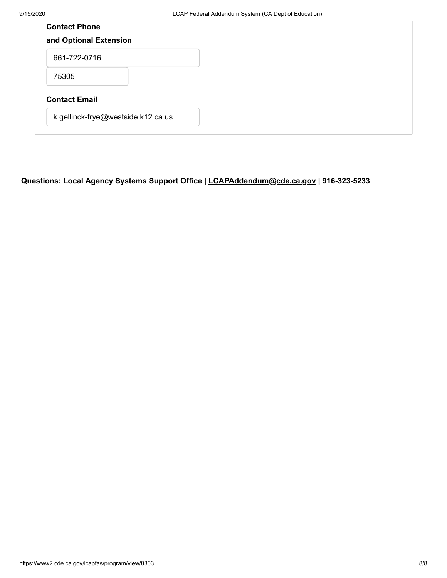| <b>Contact Phone</b>               |  |  |
|------------------------------------|--|--|
| and Optional Extension             |  |  |
| 661-722-0716                       |  |  |
| 75305                              |  |  |
| <b>Contact Email</b>               |  |  |
| k.gellinck-frye@westside.k12.ca.us |  |  |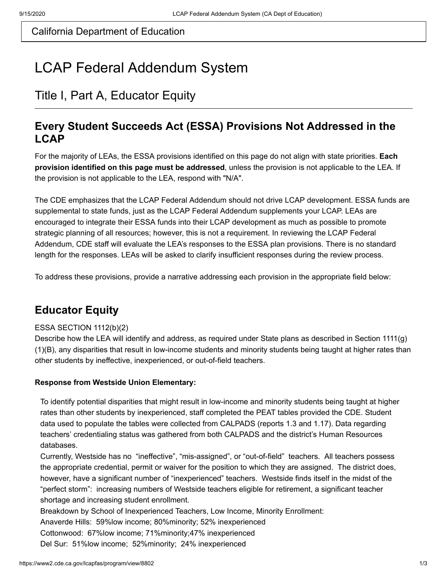# LCAP Federal Addendum System

# Title I, Part A, Educator Equity

### **Every Student Succeeds Act (ESSA) Provisions Not Addressed in the LCAP**

For the majority of LEAs, the ESSA provisions identified on this page do not align with state priorities. **Each provision identified on this page must be addressed**, unless the provision is not applicable to the LEA. If the provision is not applicable to the LEA, respond with "N/A".

The CDE emphasizes that the LCAP Federal Addendum should not drive LCAP development. ESSA funds are supplemental to state funds, just as the LCAP Federal Addendum supplements your LCAP. LEAs are encouraged to integrate their ESSA funds into their LCAP development as much as possible to promote strategic planning of all resources; however, this is not a requirement. In reviewing the LCAP Federal Addendum, CDE staff will evaluate the LEA's responses to the ESSA plan provisions. There is no standard length for the responses. LEAs will be asked to clarify insufficient responses during the review process.

To address these provisions, provide a narrative addressing each provision in the appropriate field below:

# **Educator Equity**

#### ESSA SECTION 1112(b)(2)

Describe how the LEA will identify and address, as required under State plans as described in Section 1111(g) (1)(B), any disparities that result in low-income students and minority students being taught at higher rates than other students by ineffective, inexperienced, or out-of-field teachers.

#### **Response from Westside Union Elementary:**

To identify potential disparities that might result in low-income and minority students being taught at higher rates than other students by inexperienced, staff completed the PEAT tables provided the CDE. Student data used to populate the tables were collected from CALPADS (reports 1.3 and 1.17). Data regarding teachers' credentialing status was gathered from both CALPADS and the district's Human Resources databases.

Currently, Westside has no "ineffective", "mis-assigned", or "out-of-field" teachers. All teachers possess the appropriate credential, permit or waiver for the position to which they are assigned. The district does, however, have a significant number of "inexperienced" teachers. Westside finds itself in the midst of the "perfect storm": increasing numbers of Westside teachers eligible for retirement, a significant teacher shortage and increasing student enrollment.

Breakdown by School of Inexperienced Teachers, Low Income, Minority Enrollment:

Anaverde Hills: 59%low income; 80%minority; 52% inexperienced

Cottonwood: 67%low income; 71%minority;47% inexperienced

Del Sur: 51%low income; 52%minority; 24% inexperienced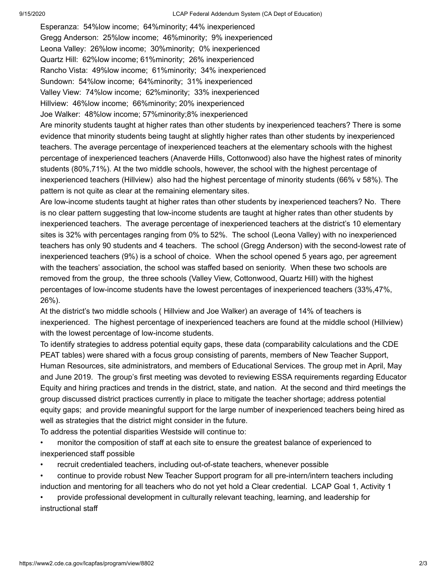Esperanza: 54%low income; 64%minority; 44% inexperienced Gregg Anderson: 25%low income; 46%minority; 9% inexperienced Leona Valley: 26%low income; 30%minority; 0% inexperienced Quartz Hill: 62%low income; 61%minority; 26% inexperienced Rancho Vista: 49%low income; 61%minority; 34% inexperienced Sundown: 54%low income; 64%minority; 31% inexperienced Valley View: 74%low income; 62%minority; 33% inexperienced Hillview: 46%low income; 66%minority; 20% inexperienced Joe Walker: 48%low income; 57%minority;8% inexperienced Are minority students taught at higher rates than other students by inexperienced teachers? There is some

evidence that minority students being taught at slightly higher rates than other students by inexperienced teachers. The average percentage of inexperienced teachers at the elementary schools with the highest percentage of inexperienced teachers (Anaverde Hills, Cottonwood) also have the highest rates of minority students (80%,71%). At the two middle schools, however, the school with the highest percentage of inexperienced teachers (Hillview) also had the highest percentage of minority students (66% v 58%). The pattern is not quite as clear at the remaining elementary sites.

Are low-income students taught at higher rates than other students by inexperienced teachers? No. There is no clear pattern suggesting that low-income students are taught at higher rates than other students by inexperienced teachers. The average percentage of inexperienced teachers at the district's 10 elementary sites is 32% with percentages ranging from 0% to 52%. The school (Leona Valley) with no inexperienced teachers has only 90 students and 4 teachers. The school (Gregg Anderson) with the second-lowest rate of inexperienced teachers (9%) is a school of choice. When the school opened 5 years ago, per agreement with the teachers' association, the school was staffed based on seniority. When these two schools are removed from the group, the three schools (Valley View, Cottonwood, Quartz Hill) with the highest percentages of low-income students have the lowest percentages of inexperienced teachers (33%,47%, 26%).

At the district's two middle schools ( Hillview and Joe Walker) an average of 14% of teachers is inexperienced. The highest percentage of inexperienced teachers are found at the middle school (Hillview) with the lowest percentage of low-income students.

To identify strategies to address potential equity gaps, these data (comparability calculations and the CDE PEAT tables) were shared with a focus group consisting of parents, members of New Teacher Support, Human Resources, site administrators, and members of Educational Services. The group met in April, May and June 2019. The group's first meeting was devoted to reviewing ESSA requirements regarding Educator Equity and hiring practices and trends in the district, state, and nation. At the second and third meetings the group discussed district practices currently in place to mitigate the teacher shortage; address potential equity gaps; and provide meaningful support for the large number of inexperienced teachers being hired as well as strategies that the district might consider in the future.

To address the potential disparities Westside will continue to:

• monitor the composition of staff at each site to ensure the greatest balance of experienced to inexperienced staff possible

- recruit credentialed teachers, including out-of-state teachers, whenever possible
- continue to provide robust New Teacher Support program for all pre-intern/intern teachers including induction and mentoring for all teachers who do not yet hold a Clear credential. LCAP Goal 1, Activity 1

• provide professional development in culturally relevant teaching, learning, and leadership for instructional staff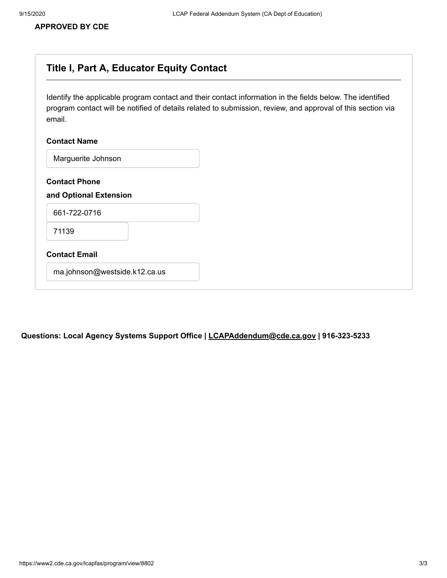#### **APPROVED BY CDE**

### **Title I, Part A, Educator Equity Contact**

Identify the applicable program contact and their contact information in the fields below. The identified program contact will be notified of details related to submission, review, and approval of this section via email.

#### **Contact Name**

Marguerite Johnson

**Contact Phone**

#### **and Optional Extension**

661-722-0716

71139

#### **Contact Email**

ma.johnson@westside.k12.ca.us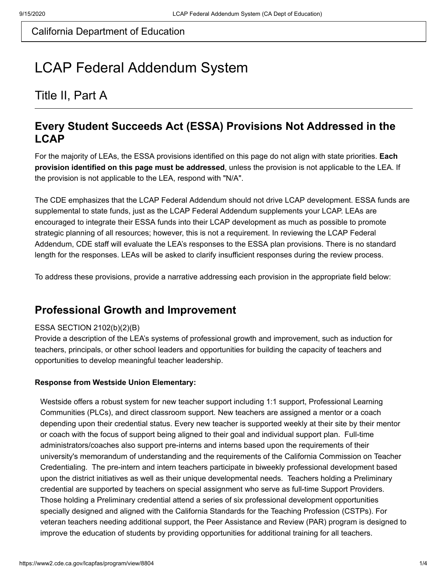# LCAP Federal Addendum System

# Title II, Part A

### **Every Student Succeeds Act (ESSA) Provisions Not Addressed in the LCAP**

For the majority of LEAs, the ESSA provisions identified on this page do not align with state priorities. **Each provision identified on this page must be addressed**, unless the provision is not applicable to the LEA. If the provision is not applicable to the LEA, respond with "N/A".

The CDE emphasizes that the LCAP Federal Addendum should not drive LCAP development. ESSA funds are supplemental to state funds, just as the LCAP Federal Addendum supplements your LCAP. LEAs are encouraged to integrate their ESSA funds into their LCAP development as much as possible to promote strategic planning of all resources; however, this is not a requirement. In reviewing the LCAP Federal Addendum, CDE staff will evaluate the LEA's responses to the ESSA plan provisions. There is no standard length for the responses. LEAs will be asked to clarify insufficient responses during the review process.

To address these provisions, provide a narrative addressing each provision in the appropriate field below:

### **Professional Growth and Improvement**

#### ESSA SECTION 2102(b)(2)(B)

Provide a description of the LEA's systems of professional growth and improvement, such as induction for teachers, principals, or other school leaders and opportunities for building the capacity of teachers and opportunities to develop meaningful teacher leadership.

#### **Response from Westside Union Elementary:**

Westside offers a robust system for new teacher support including 1:1 support, Professional Learning Communities (PLCs), and direct classroom support. New teachers are assigned a mentor or a coach depending upon their credential status. Every new teacher is supported weekly at their site by their mentor or coach with the focus of support being aligned to their goal and individual support plan. Full-time administrators/coaches also support pre-interns and interns based upon the requirements of their university's memorandum of understanding and the requirements of the California Commission on Teacher Credentialing. The pre-intern and intern teachers participate in biweekly professional development based upon the district initiatives as well as their unique developmental needs. Teachers holding a Preliminary credential are supported by teachers on special assignment who serve as full-time Support Providers. Those holding a Preliminary credential attend a series of six professional development opportunities specially designed and aligned with the California Standards for the Teaching Profession (CSTPs). For veteran teachers needing additional support, the Peer Assistance and Review (PAR) program is designed to improve the education of students by providing opportunities for additional training for all teachers.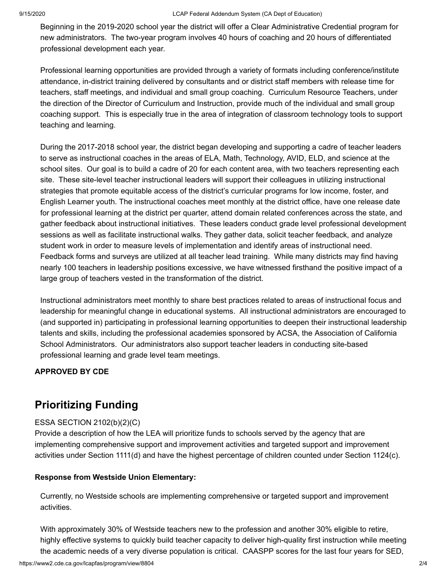Beginning in the 2019-2020 school year the district will offer a Clear Administrative Credential program for new administrators. The two-year program involves 40 hours of coaching and 20 hours of differentiated professional development each year.

Professional learning opportunities are provided through a variety of formats including conference/institute attendance, in-district training delivered by consultants and or district staff members with release time for teachers, staff meetings, and individual and small group coaching. Curriculum Resource Teachers, under the direction of the Director of Curriculum and Instruction, provide much of the individual and small group coaching support. This is especially true in the area of integration of classroom technology tools to support teaching and learning.

During the 2017-2018 school year, the district began developing and supporting a cadre of teacher leaders to serve as instructional coaches in the areas of ELA, Math, Technology, AVID, ELD, and science at the school sites. Our goal is to build a cadre of 20 for each content area, with two teachers representing each site. These site-level teacher instructional leaders will support their colleagues in utilizing instructional strategies that promote equitable access of the district's curricular programs for low income, foster, and English Learner youth. The instructional coaches meet monthly at the district office, have one release date for professional learning at the district per quarter, attend domain related conferences across the state, and gather feedback about instructional initiatives. These leaders conduct grade level professional development sessions as well as facilitate instructional walks. They gather data, solicit teacher feedback, and analyze student work in order to measure levels of implementation and identify areas of instructional need. Feedback forms and surveys are utilized at all teacher lead training. While many districts may find having nearly 100 teachers in leadership positions excessive, we have witnessed firsthand the positive impact of a large group of teachers vested in the transformation of the district.

Instructional administrators meet monthly to share best practices related to areas of instructional focus and leadership for meaningful change in educational systems. All instructional administrators are encouraged to (and supported in) participating in professional learning opportunities to deepen their instructional leadership talents and skills, including the professional academies sponsored by ACSA, the Association of California School Administrators. Our administrators also support teacher leaders in conducting site-based professional learning and grade level team meetings.

#### **APPROVED BY CDE**

# **Prioritizing Funding**

#### ESSA SECTION 2102(b)(2)(C)

Provide a description of how the LEA will prioritize funds to schools served by the agency that are implementing comprehensive support and improvement activities and targeted support and improvement activities under Section 1111(d) and have the highest percentage of children counted under Section 1124(c).

#### **Response from Westside Union Elementary:**

Currently, no Westside schools are implementing comprehensive or targeted support and improvement activities.

With approximately 30% of Westside teachers new to the profession and another 30% eligible to retire, highly effective systems to quickly build teacher capacity to deliver high-quality first instruction while meeting the academic needs of a very diverse population is critical. CAASPP scores for the last four years for SED,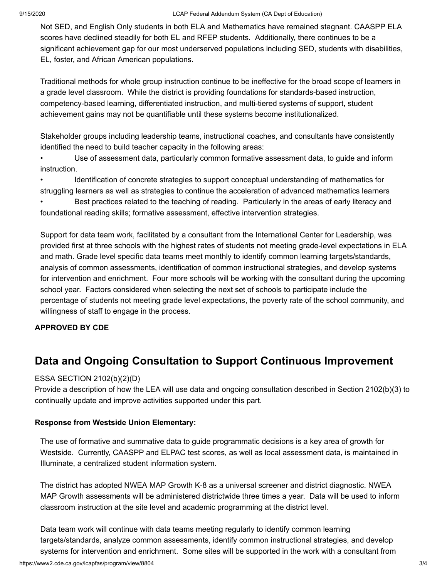Not SED, and English Only students in both ELA and Mathematics have remained stagnant. CAASPP ELA scores have declined steadily for both EL and RFEP students. Additionally, there continues to be a significant achievement gap for our most underserved populations including SED, students with disabilities, EL, foster, and African American populations.

Traditional methods for whole group instruction continue to be ineffective for the broad scope of learners in a grade level classroom. While the district is providing foundations for standards-based instruction, competency-based learning, differentiated instruction, and multi-tiered systems of support, student achievement gains may not be quantifiable until these systems become institutionalized.

Stakeholder groups including leadership teams, instructional coaches, and consultants have consistently identified the need to build teacher capacity in the following areas:

• Use of assessment data, particularly common formative assessment data, to guide and inform instruction.

• Identification of concrete strategies to support conceptual understanding of mathematics for struggling learners as well as strategies to continue the acceleration of advanced mathematics learners • Best practices related to the teaching of reading. Particularly in the areas of early literacy and foundational reading skills; formative assessment, effective intervention strategies.

Support for data team work, facilitated by a consultant from the International Center for Leadership, was provided first at three schools with the highest rates of students not meeting grade-level expectations in ELA and math. Grade level specific data teams meet monthly to identify common learning targets/standards, analysis of common assessments, identification of common instructional strategies, and develop systems for intervention and enrichment. Four more schools will be working with the consultant during the upcoming school year. Factors considered when selecting the next set of schools to participate include the percentage of students not meeting grade level expectations, the poverty rate of the school community, and willingness of staff to engage in the process.

#### **APPROVED BY CDE**

# **Data and Ongoing Consultation to Support Continuous Improvement**

#### ESSA SECTION 2102(b)(2)(D)

Provide a description of how the LEA will use data and ongoing consultation described in Section 2102(b)(3) to continually update and improve activities supported under this part.

#### **Response from Westside Union Elementary:**

The use of formative and summative data to guide programmatic decisions is a key area of growth for Westside. Currently, CAASPP and ELPAC test scores, as well as local assessment data, is maintained in Illuminate, a centralized student information system.

The district has adopted NWEA MAP Growth K-8 as a universal screener and district diagnostic. NWEA MAP Growth assessments will be administered districtwide three times a year. Data will be used to inform classroom instruction at the site level and academic programming at the district level.

Data team work will continue with data teams meeting regularly to identify common learning targets/standards, analyze common assessments, identify common instructional strategies, and develop systems for intervention and enrichment. Some sites will be supported in the work with a consultant from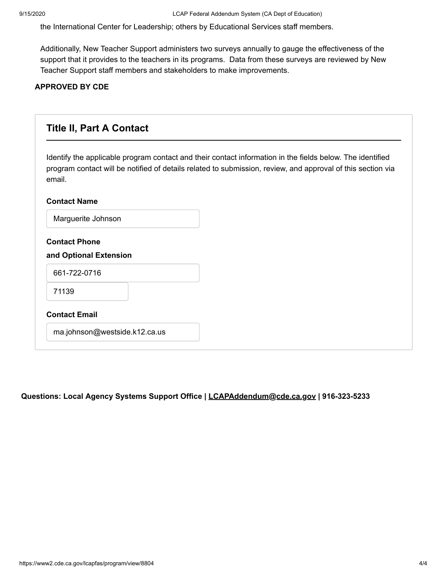the International Center for Leadership; others by Educational Services staff members.

Additionally, New Teacher Support administers two surveys annually to gauge the effectiveness of the support that it provides to the teachers in its programs. Data from these surveys are reviewed by New Teacher Support staff members and stakeholders to make improvements.

#### **APPROVED BY CDE**

| <b>Title II, Part A Contact</b>                |                                                                                                                                                                                                                          |
|------------------------------------------------|--------------------------------------------------------------------------------------------------------------------------------------------------------------------------------------------------------------------------|
| email.                                         | Identify the applicable program contact and their contact information in the fields below. The identified<br>program contact will be notified of details related to submission, review, and approval of this section via |
| <b>Contact Name</b>                            |                                                                                                                                                                                                                          |
| Marguerite Johnson                             |                                                                                                                                                                                                                          |
| <b>Contact Phone</b><br>and Optional Extension |                                                                                                                                                                                                                          |
| 661-722-0716                                   |                                                                                                                                                                                                                          |
| 71139                                          |                                                                                                                                                                                                                          |
| <b>Contact Email</b>                           |                                                                                                                                                                                                                          |
| ma.johnson@westside.k12.ca.us                  |                                                                                                                                                                                                                          |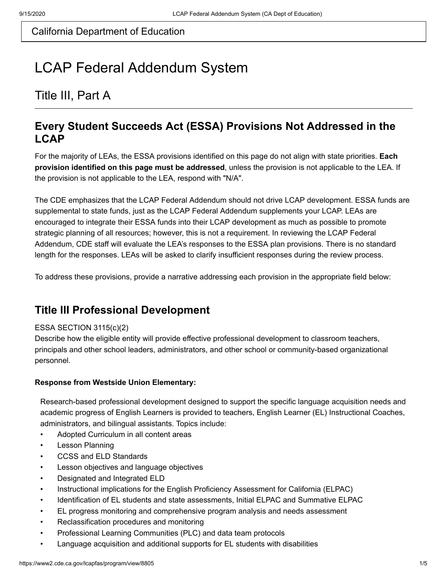# LCAP Federal Addendum System

# Title III, Part A

### **Every Student Succeeds Act (ESSA) Provisions Not Addressed in the LCAP**

For the majority of LEAs, the ESSA provisions identified on this page do not align with state priorities. **Each provision identified on this page must be addressed**, unless the provision is not applicable to the LEA. If the provision is not applicable to the LEA, respond with "N/A".

The CDE emphasizes that the LCAP Federal Addendum should not drive LCAP development. ESSA funds are supplemental to state funds, just as the LCAP Federal Addendum supplements your LCAP. LEAs are encouraged to integrate their ESSA funds into their LCAP development as much as possible to promote strategic planning of all resources; however, this is not a requirement. In reviewing the LCAP Federal Addendum, CDE staff will evaluate the LEA's responses to the ESSA plan provisions. There is no standard length for the responses. LEAs will be asked to clarify insufficient responses during the review process.

To address these provisions, provide a narrative addressing each provision in the appropriate field below:

## **Title III Professional Development**

#### ESSA SECTION 3115(c)(2)

Describe how the eligible entity will provide effective professional development to classroom teachers, principals and other school leaders, administrators, and other school or community-based organizational personnel.

#### **Response from Westside Union Elementary:**

Research-based professional development designed to support the specific language acquisition needs and academic progress of English Learners is provided to teachers, English Learner (EL) Instructional Coaches, administrators, and bilingual assistants. Topics include:

- Adopted Curriculum in all content areas
- Lesson Planning
- CCSS and ELD Standards
- Lesson objectives and language objectives
- Designated and Integrated ELD
- Instructional implications for the English Proficiency Assessment for California (ELPAC)
- Identification of EL students and state assessments, Initial ELPAC and Summative ELPAC
- EL progress monitoring and comprehensive program analysis and needs assessment
- Reclassification procedures and monitoring
- Professional Learning Communities (PLC) and data team protocols
- Language acquisition and additional supports for EL students with disabilities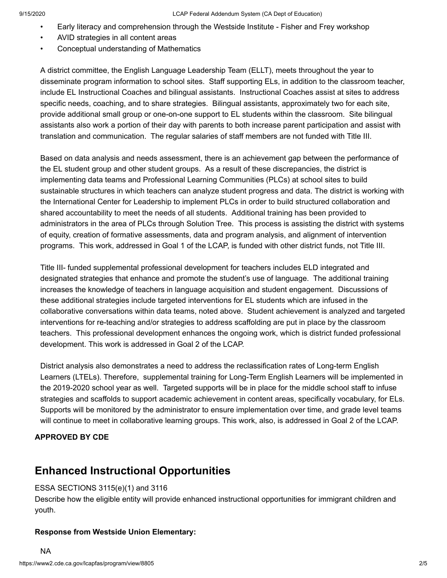- Early literacy and comprehension through the Westside Institute Fisher and Frey workshop
- AVID strategies in all content areas
- Conceptual understanding of Mathematics

A district committee, the English Language Leadership Team (ELLT), meets throughout the year to disseminate program information to school sites. Staff supporting ELs, in addition to the classroom teacher, include EL Instructional Coaches and bilingual assistants. Instructional Coaches assist at sites to address specific needs, coaching, and to share strategies. Bilingual assistants, approximately two for each site, provide additional small group or one-on-one support to EL students within the classroom. Site bilingual assistants also work a portion of their day with parents to both increase parent participation and assist with translation and communication. The regular salaries of staff members are not funded with Title III.

Based on data analysis and needs assessment, there is an achievement gap between the performance of the EL student group and other student groups. As a result of these discrepancies, the district is implementing data teams and Professional Learning Communities (PLCs) at school sites to build sustainable structures in which teachers can analyze student progress and data. The district is working with the International Center for Leadership to implement PLCs in order to build structured collaboration and shared accountability to meet the needs of all students. Additional training has been provided to administrators in the area of PLCs through Solution Tree. This process is assisting the district with systems of equity, creation of formative assessments, data and program analysis, and alignment of intervention programs. This work, addressed in Goal 1 of the LCAP, is funded with other district funds, not Title III.

Title III- funded supplemental professional development for teachers includes ELD integrated and designated strategies that enhance and promote the student's use of language. The additional training increases the knowledge of teachers in language acquisition and student engagement. Discussions of these additional strategies include targeted interventions for EL students which are infused in the collaborative conversations within data teams, noted above. Student achievement is analyzed and targeted interventions for re-teaching and/or strategies to address scaffolding are put in place by the classroom teachers. This professional development enhances the ongoing work, which is district funded professional development. This work is addressed in Goal 2 of the LCAP.

District analysis also demonstrates a need to address the reclassification rates of Long-term English Learners (LTELs). Therefore, supplemental training for Long-Term English Learners will be implemented in the 2019-2020 school year as well. Targeted supports will be in place for the middle school staff to infuse strategies and scaffolds to support academic achievement in content areas, specifically vocabulary, for ELs. Supports will be monitored by the administrator to ensure implementation over time, and grade level teams will continue to meet in collaborative learning groups. This work, also, is addressed in Goal 2 of the LCAP.

#### **APPROVED BY CDE**

## **Enhanced Instructional Opportunities**

#### ESSA SECTIONS 3115(e)(1) and 3116

Describe how the eligible entity will provide enhanced instructional opportunities for immigrant children and youth.

#### **Response from Westside Union Elementary:**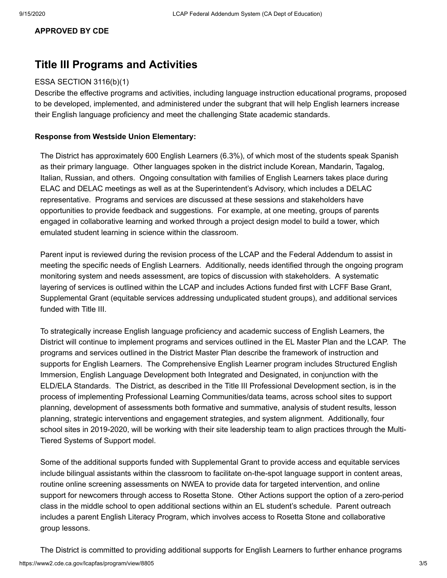#### **APPROVED BY CDE**

### **Title III Programs and Activities**

#### ESSA SECTION 3116(b)(1)

Describe the effective programs and activities, including language instruction educational programs, proposed to be developed, implemented, and administered under the subgrant that will help English learners increase their English language proficiency and meet the challenging State academic standards.

#### **Response from Westside Union Elementary:**

The District has approximately 600 English Learners (6.3%), of which most of the students speak Spanish as their primary language. Other languages spoken in the district include Korean, Mandarin, Tagalog, Italian, Russian, and others. Ongoing consultation with families of English Learners takes place during ELAC and DELAC meetings as well as at the Superintendent's Advisory, which includes a DELAC representative. Programs and services are discussed at these sessions and stakeholders have opportunities to provide feedback and suggestions. For example, at one meeting, groups of parents engaged in collaborative learning and worked through a project design model to build a tower, which emulated student learning in science within the classroom.

Parent input is reviewed during the revision process of the LCAP and the Federal Addendum to assist in meeting the specific needs of English Learners. Additionally, needs identified through the ongoing program monitoring system and needs assessment, are topics of discussion with stakeholders. A systematic layering of services is outlined within the LCAP and includes Actions funded first with LCFF Base Grant, Supplemental Grant (equitable services addressing unduplicated student groups), and additional services funded with Title III.

To strategically increase English language proficiency and academic success of English Learners, the District will continue to implement programs and services outlined in the EL Master Plan and the LCAP. The programs and services outlined in the District Master Plan describe the framework of instruction and supports for English Learners. The Comprehensive English Learner program includes Structured English Immersion, English Language Development both Integrated and Designated, in conjunction with the ELD/ELA Standards. The District, as described in the Title III Professional Development section, is in the process of implementing Professional Learning Communities/data teams, across school sites to support planning, development of assessments both formative and summative, analysis of student results, lesson planning, strategic interventions and engagement strategies, and system alignment. Additionally, four school sites in 2019-2020, will be working with their site leadership team to align practices through the Multi-Tiered Systems of Support model.

Some of the additional supports funded with Supplemental Grant to provide access and equitable services include bilingual assistants within the classroom to facilitate on-the-spot language support in content areas, routine online screening assessments on NWEA to provide data for targeted intervention, and online support for newcomers through access to Rosetta Stone. Other Actions support the option of a zero-period class in the middle school to open additional sections within an EL student's schedule. Parent outreach includes a parent English Literacy Program, which involves access to Rosetta Stone and collaborative group lessons.

https://www2.cde.ca.gov/lcapfas/program/view/8805 3/5 The District is committed to providing additional supports for English Learners to further enhance programs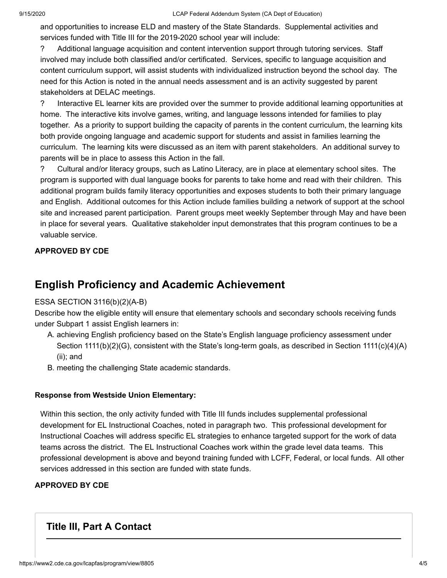and opportunities to increase ELD and mastery of the State Standards. Supplemental activities and services funded with Title III for the 2019-2020 school year will include:

? Additional language acquisition and content intervention support through tutoring services. Staff involved may include both classified and/or certificated. Services, specific to language acquisition and content curriculum support, will assist students with individualized instruction beyond the school day. The need for this Action is noted in the annual needs assessment and is an activity suggested by parent stakeholders at DELAC meetings.

? Interactive EL learner kits are provided over the summer to provide additional learning opportunities at home. The interactive kits involve games, writing, and language lessons intended for families to play together. As a priority to support building the capacity of parents in the content curriculum, the learning kits both provide ongoing language and academic support for students and assist in families learning the curriculum. The learning kits were discussed as an item with parent stakeholders. An additional survey to parents will be in place to assess this Action in the fall.

? Cultural and/or literacy groups, such as Latino Literacy, are in place at elementary school sites. The program is supported with dual language books for parents to take home and read with their children. This additional program builds family literacy opportunities and exposes students to both their primary language and English. Additional outcomes for this Action include families building a network of support at the school site and increased parent participation. Parent groups meet weekly September through May and have been in place for several years. Qualitative stakeholder input demonstrates that this program continues to be a valuable service.

### **APPROVED BY CDE**

### **English Proficiency and Academic Achievement**

#### ESSA SECTION 3116(b)(2)(A-B)

Describe how the eligible entity will ensure that elementary schools and secondary schools receiving funds under Subpart 1 assist English learners in:

- A. achieving English proficiency based on the State's English language proficiency assessment under Section 1111(b)(2)(G), consistent with the State's long-term goals, as described in Section 1111(c)(4)(A) (ii); and
- B. meeting the challenging State academic standards.

#### **Response from Westside Union Elementary:**

Within this section, the only activity funded with Title III funds includes supplemental professional development for EL Instructional Coaches, noted in paragraph two. This professional development for Instructional Coaches will address specific EL strategies to enhance targeted support for the work of data teams across the district. The EL Instructional Coaches work within the grade level data teams. This professional development is above and beyond training funded with LCFF, Federal, or local funds. All other services addressed in this section are funded with state funds.

#### **APPROVED BY CDE**

### **Title III, Part A Contact**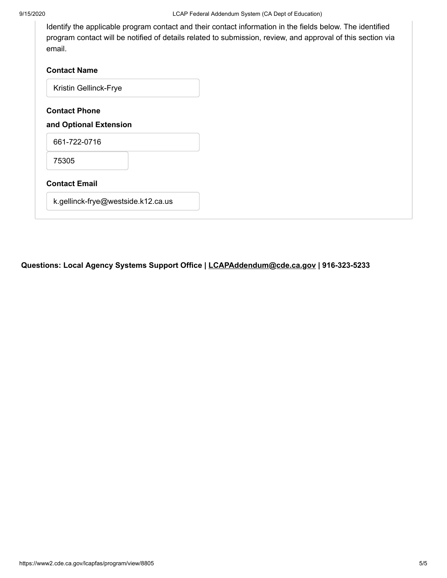Identify the applicable program contact and their contact information in the fields below. The identified program contact will be notified of details related to submission, review, and approval of this section via email.

| <b>Contact Name</b>                            |  |
|------------------------------------------------|--|
| Kristin Gellinck-Frye                          |  |
| <b>Contact Phone</b><br>and Optional Extension |  |
| 661-722-0716                                   |  |
| 75305                                          |  |
| <b>Contact Email</b>                           |  |
| k.gellinck-frye@westside.k12.ca.us             |  |
|                                                |  |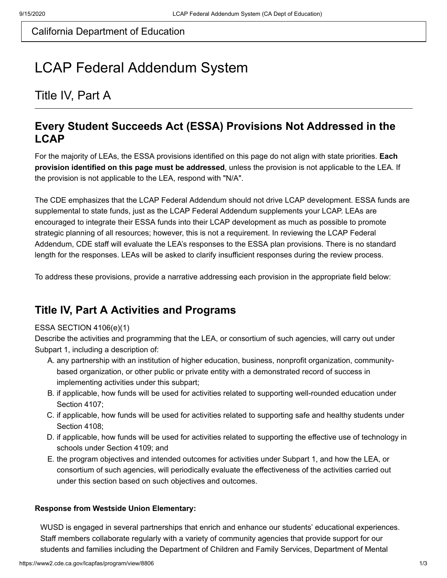# LCAP Federal Addendum System

# Title IV, Part A

### **Every Student Succeeds Act (ESSA) Provisions Not Addressed in the LCAP**

For the majority of LEAs, the ESSA provisions identified on this page do not align with state priorities. **Each provision identified on this page must be addressed**, unless the provision is not applicable to the LEA. If the provision is not applicable to the LEA, respond with "N/A".

The CDE emphasizes that the LCAP Federal Addendum should not drive LCAP development. ESSA funds are supplemental to state funds, just as the LCAP Federal Addendum supplements your LCAP. LEAs are encouraged to integrate their ESSA funds into their LCAP development as much as possible to promote strategic planning of all resources; however, this is not a requirement. In reviewing the LCAP Federal Addendum, CDE staff will evaluate the LEA's responses to the ESSA plan provisions. There is no standard length for the responses. LEAs will be asked to clarify insufficient responses during the review process.

To address these provisions, provide a narrative addressing each provision in the appropriate field below:

# **Title IV, Part A Activities and Programs**

#### ESSA SECTION 4106(e)(1)

Describe the activities and programming that the LEA, or consortium of such agencies, will carry out under Subpart 1, including a description of:

- A. any partnership with an institution of higher education, business, nonprofit organization, communitybased organization, or other public or private entity with a demonstrated record of success in implementing activities under this subpart;
- B. if applicable, how funds will be used for activities related to supporting well-rounded education under Section 4107;
- C. if applicable, how funds will be used for activities related to supporting safe and healthy students under Section 4108;
- D. if applicable, how funds will be used for activities related to supporting the effective use of technology in schools under Section 4109; and
- E. the program objectives and intended outcomes for activities under Subpart 1, and how the LEA, or consortium of such agencies, will periodically evaluate the effectiveness of the activities carried out under this section based on such objectives and outcomes.

#### **Response from Westside Union Elementary:**

WUSD is engaged in several partnerships that enrich and enhance our students' educational experiences. Staff members collaborate regularly with a variety of community agencies that provide support for our students and families including the Department of Children and Family Services, Department of Mental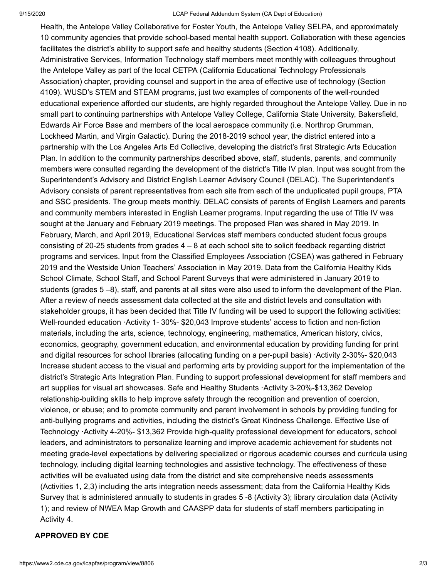Health, the Antelope Valley Collaborative for Foster Youth, the Antelope Valley SELPA, and approximately 10 community agencies that provide school-based mental health support. Collaboration with these agencies facilitates the district's ability to support safe and healthy students (Section 4108). Additionally, Administrative Services, Information Technology staff members meet monthly with colleagues throughout the Antelope Valley as part of the local CETPA (California Educational Technology Professionals Association) chapter, providing counsel and support in the area of effective use of technology (Section 4109). WUSD's STEM and STEAM programs, just two examples of components of the well-rounded educational experience afforded our students, are highly regarded throughout the Antelope Valley. Due in no small part to continuing partnerships with Antelope Valley College, California State University, Bakersfield, Edwards Air Force Base and members of the local aerospace community (i.e. Northrop Grumman, Lockheed Martin, and Virgin Galactic). During the 2018-2019 school year, the district entered into a partnership with the Los Angeles Arts Ed Collective, developing the district's first Strategic Arts Education Plan. In addition to the community partnerships described above, staff, students, parents, and community members were consulted regarding the development of the district's Title IV plan. Input was sought from the Superintendent's Advisory and District English Learner Advisory Council (DELAC). The Superintendent's Advisory consists of parent representatives from each site from each of the unduplicated pupil groups, PTA and SSC presidents. The group meets monthly. DELAC consists of parents of English Learners and parents and community members interested in English Learner programs. Input regarding the use of Title IV was sought at the January and February 2019 meetings. The proposed Plan was shared in May 2019. In February, March, and April 2019, Educational Services staff members conducted student focus groups consisting of 20-25 students from grades 4 – 8 at each school site to solicit feedback regarding district programs and services. Input from the Classified Employees Association (CSEA) was gathered in February 2019 and the Westside Union Teachers' Association in May 2019. Data from the California Healthy Kids School Climate, School Staff, and School Parent Surveys that were administered in January 2019 to students (grades 5 –8), staff, and parents at all sites were also used to inform the development of the Plan. After a review of needs assessment data collected at the site and district levels and consultation with stakeholder groups, it has been decided that Title IV funding will be used to support the following activities: Well-rounded education ·Activity 1- 30%- \$20,043 Improve students' access to fiction and non-fiction materials, including the arts, science, technology, engineering, mathematics, American history, civics, economics, geography, government education, and environmental education by providing funding for print and digital resources for school libraries (allocating funding on a per-pupil basis) ·Activity 2-30%- \$20,043 Increase student access to the visual and performing arts by providing support for the implementation of the district's Strategic Arts Integration Plan. Funding to support professional development for staff members and art supplies for visual art showcases. Safe and Healthy Students ·Activity 3-20%-\$13,362 Develop relationship-building skills to help improve safety through the recognition and prevention of coercion, violence, or abuse; and to promote community and parent involvement in schools by providing funding for anti-bullying programs and activities, including the district's Great Kindness Challenge. Effective Use of Technology ·Activity 4-20%- \$13,362 Provide high-quality professional development for educators, school leaders, and administrators to personalize learning and improve academic achievement for students not meeting grade-level expectations by delivering specialized or rigorous academic courses and curricula using technology, including digital learning technologies and assistive technology. The effectiveness of these activities will be evaluated using data from the district and site comprehensive needs assessments (Activities 1, 2,3) including the arts integration needs assessment; data from the California Healthy Kids Survey that is administered annually to students in grades 5 -8 (Activity 3); library circulation data (Activity 1); and review of NWEA Map Growth and CAASPP data for students of staff members participating in Activity 4.

#### **APPROVED BY CDE**